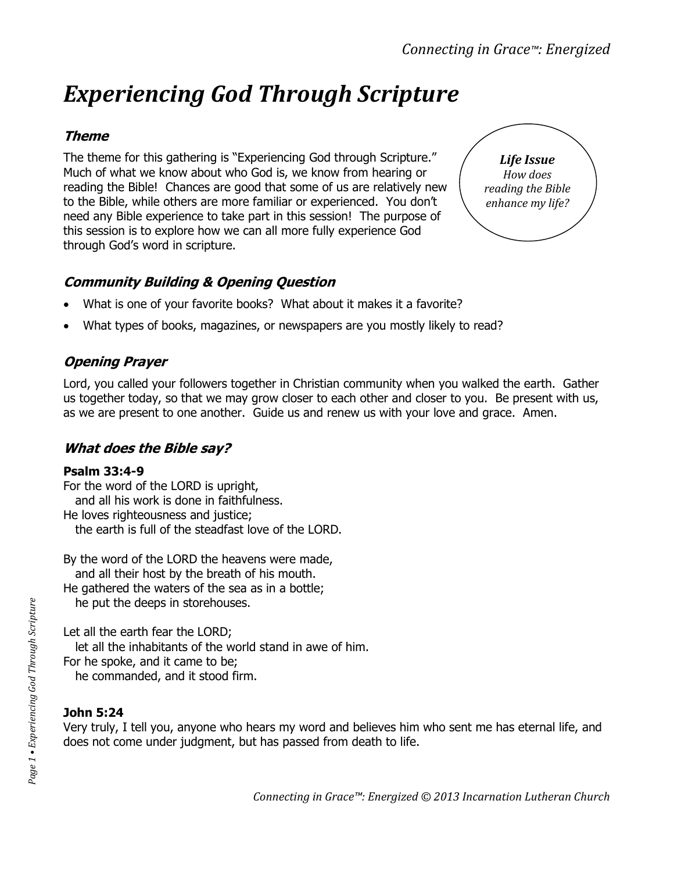# *Experiencing God Through Scripture*

### **Theme**

The theme for this gathering is "Experiencing God through Scripture." Much of what we know about who God is, we know from hearing or reading the Bible! Chances are good that some of us are relatively new to the Bible, while others are more familiar or experienced. You don't need any Bible experience to take part in this session! The purpose of this session is to explore how we can all more fully experience God through God's word in scripture.



## **Community Building & Opening Question**

- What is one of your favorite books? What about it makes it a favorite?
- What types of books, magazines, or newspapers are you mostly likely to read?

### **Opening Prayer**

Lord, you called your followers together in Christian community when you walked the earth. Gather us together today, so that we may grow closer to each other and closer to you. Be present with us, as we are present to one another. Guide us and renew us with your love and grace. Amen.

#### **What does the Bible say?**

#### **Psalm 33:4-9**

For the word of the LORD is upright, and all his work is done in faithfulness. He loves righteousness and justice; the earth is full of the steadfast love of the LORD.

By the word of the LORD the heavens were made, and all their host by the breath of his mouth. He gathered the waters of the sea as in a bottle; he put the deeps in storehouses.

Let all the earth fear the LORD; let all the inhabitants of the world stand in awe of him. For he spoke, and it came to be; he commanded, and it stood firm.

#### **John 5:24**

Very truly, I tell you, anyone who hears my word and believes him who sent me has eternal life, and does not come under judgment, but has passed from death to life.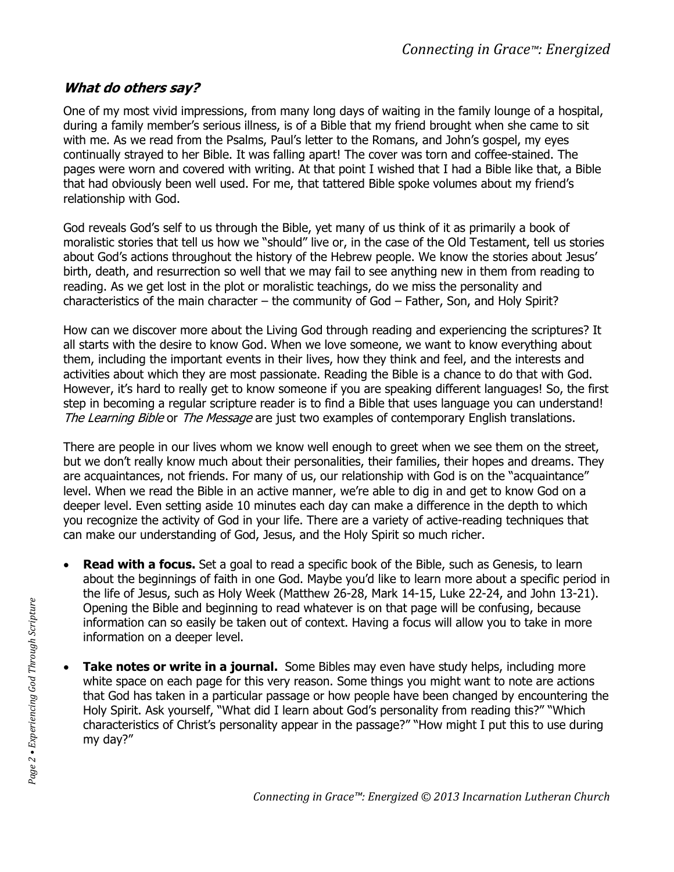#### **What do others say?**

One of my most vivid impressions, from many long days of waiting in the family lounge of a hospital, during a family member's serious illness, is of a Bible that my friend brought when she came to sit with me. As we read from the Psalms, Paul's letter to the Romans, and John's gospel, my eyes continually strayed to her Bible. It was falling apart! The cover was torn and coffee-stained. The pages were worn and covered with writing. At that point I wished that I had a Bible like that, a Bible that had obviously been well used. For me, that tattered Bible spoke volumes about my friend's relationship with God.

God reveals God's self to us through the Bible, yet many of us think of it as primarily a book of moralistic stories that tell us how we "should" live or, in the case of the Old Testament, tell us stories about God's actions throughout the history of the Hebrew people. We know the stories about Jesus' birth, death, and resurrection so well that we may fail to see anything new in them from reading to reading. As we get lost in the plot or moralistic teachings, do we miss the personality and characteristics of the main character – the community of God – Father, Son, and Holy Spirit?

How can we discover more about the Living God through reading and experiencing the scriptures? It all starts with the desire to know God. When we love someone, we want to know everything about them, including the important events in their lives, how they think and feel, and the interests and activities about which they are most passionate. Reading the Bible is a chance to do that with God. However, it's hard to really get to know someone if you are speaking different languages! So, the first step in becoming a regular scripture reader is to find a Bible that uses language you can understand! The Learning Bible or The Message are just two examples of contemporary English translations.

There are people in our lives whom we know well enough to greet when we see them on the street, but we don't really know much about their personalities, their families, their hopes and dreams. They are acquaintances, not friends. For many of us, our relationship with God is on the "acquaintance" level. When we read the Bible in an active manner, we're able to dig in and get to know God on a deeper level. Even setting aside 10 minutes each day can make a difference in the depth to which you recognize the activity of God in your life. There are a variety of active-reading techniques that can make our understanding of God, Jesus, and the Holy Spirit so much richer.

- **Read with a focus.** Set a goal to read a specific book of the Bible, such as Genesis, to learn about the beginnings of faith in one God. Maybe you'd like to learn more about a specific period in the life of Jesus, such as Holy Week (Matthew 26-28, Mark 14-15, Luke 22-24, and John 13-21). Opening the Bible and beginning to read whatever is on that page will be confusing, because information can so easily be taken out of context. Having a focus will allow you to take in more information on a deeper level.
- **Take notes or write in a journal.** Some Bibles may even have study helps, including more white space on each page for this very reason. Some things you might want to note are actions that God has taken in a particular passage or how people have been changed by encountering the Holy Spirit. Ask yourself, "What did I learn about God's personality from reading this?" "Which characteristics of Christ's personality appear in the passage?" "How might I put this to use during my day?"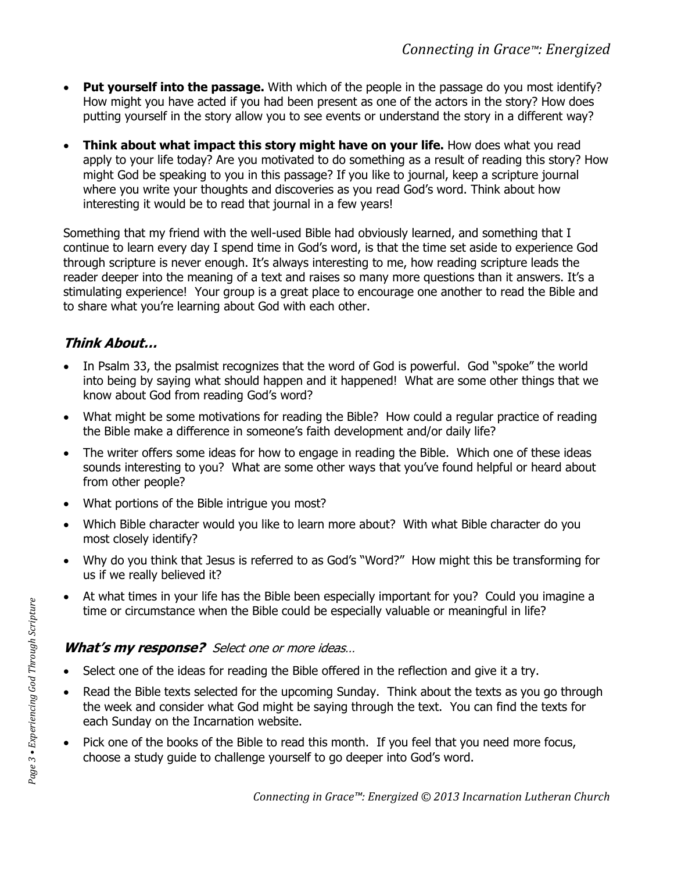- **Put yourself into the passage.** With which of the people in the passage do you most identify? How might you have acted if you had been present as one of the actors in the story? How does putting yourself in the story allow you to see events or understand the story in a different way?
- **Think about what impact this story might have on your life.** How does what you read apply to your life today? Are you motivated to do something as a result of reading this story? How might God be speaking to you in this passage? If you like to journal, keep a scripture journal where you write your thoughts and discoveries as you read God's word. Think about how interesting it would be to read that journal in a few years!

Something that my friend with the well-used Bible had obviously learned, and something that I continue to learn every day I spend time in God's word, is that the time set aside to experience God through scripture is never enough. It's always interesting to me, how reading scripture leads the reader deeper into the meaning of a text and raises so many more questions than it answers. It's a stimulating experience! Your group is a great place to encourage one another to read the Bible and to share what you're learning about God with each other.

# **Think About…**

- In Psalm 33, the psalmist recognizes that the word of God is powerful. God "spoke" the world into being by saying what should happen and it happened! What are some other things that we know about God from reading God's word?
- What might be some motivations for reading the Bible? How could a regular practice of reading the Bible make a difference in someone's faith development and/or daily life?
- The writer offers some ideas for how to engage in reading the Bible. Which one of these ideas sounds interesting to you? What are some other ways that you've found helpful or heard about from other people?
- What portions of the Bible intrigue you most?
- Which Bible character would you like to learn more about? With what Bible character do you most closely identify?
- Why do you think that Jesus is referred to as God's "Word?" How might this be transforming for us if we really believed it?
- At what times in your life has the Bible been especially important for you? Could you imagine a time or circumstance when the Bible could be especially valuable or meaningful in life?

#### **What's my response?** Select one or more ideas…

- Select one of the ideas for reading the Bible offered in the reflection and give it a try.
- Read the Bible texts selected for the upcoming Sunday. Think about the texts as you go through the week and consider what God might be saying through the text. You can find the texts for each Sunday on the Incarnation website.
- Pick one of the books of the Bible to read this month. If you feel that you need more focus, choose a study guide to challenge yourself to go deeper into God's word.